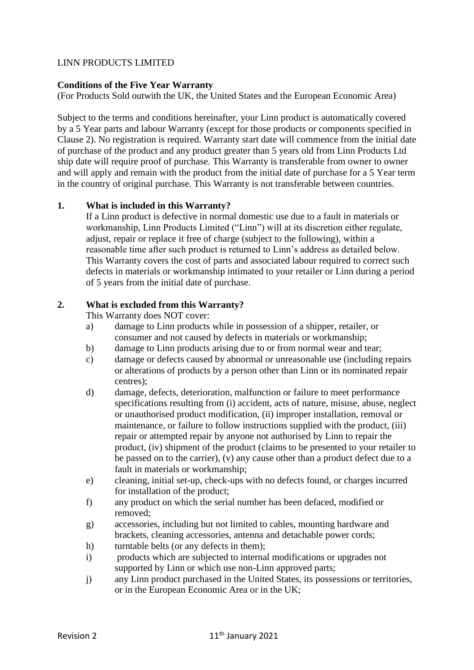# LINN PRODUCTS LIMITED

# **Conditions of the Five Year Warranty**

(For Products Sold outwith the UK, the United States and the European Economic Area)

Subject to the terms and conditions hereinafter, your Linn product is automatically covered by a 5 Year parts and labour Warranty (except for those products or components specified in Clause 2). No registration is required. Warranty start date will commence from the initial date of purchase of the product and any product greater than 5 years old from Linn Products Ltd ship date will require proof of purchase. This Warranty is transferable from owner to owner and will apply and remain with the product from the initial date of purchase for a 5 Year term in the country of original purchase. This Warranty is not transferable between countries.

# **1. What is included in this Warranty?**

If a Linn product is defective in normal domestic use due to a fault in materials or workmanship, Linn Products Limited ("Linn") will at its discretion either regulate, adjust, repair or replace it free of charge (subject to the following), within a reasonable time after such product is returned to Linn's address as detailed below. This Warranty covers the cost of parts and associated labour required to correct such defects in materials or workmanship intimated to your retailer or Linn during a period of 5 years from the initial date of purchase.

#### **2. What is excluded from this Warranty?**

This Warranty does NOT cover:

- a) damage to Linn products while in possession of a shipper, retailer, or consumer and not caused by defects in materials or workmanship;
- b) damage to Linn products arising due to or from normal wear and tear;
- c) damage or defects caused by abnormal or unreasonable use (including repairs or alterations of products by a person other than Linn or its nominated repair centres);
- d) damage, defects, deterioration, malfunction or failure to meet performance specifications resulting from (i) accident, acts of nature, misuse, abuse, neglect or unauthorised product modification, (ii) improper installation, removal or maintenance, or failure to follow instructions supplied with the product, (iii) repair or attempted repair by anyone not authorised by Linn to repair the product, (iv) shipment of the product (claims to be presented to your retailer to be passed on to the carrier), (v) any cause other than a product defect due to a fault in materials or workmanship;
- e) cleaning, initial set-up, check-ups with no defects found, or charges incurred for installation of the product;
- f) any product on which the serial number has been defaced, modified or removed;
- g) accessories, including but not limited to cables, mounting hardware and brackets, cleaning accessories, antenna and detachable power cords;
- h) turntable belts (or any defects in them);
- i) products which are subjected to internal modifications or upgrades not supported by Linn or which use non-Linn approved parts;
- j) any Linn product purchased in the United States, its possessions or territories, or in the European Economic Area or in the UK;